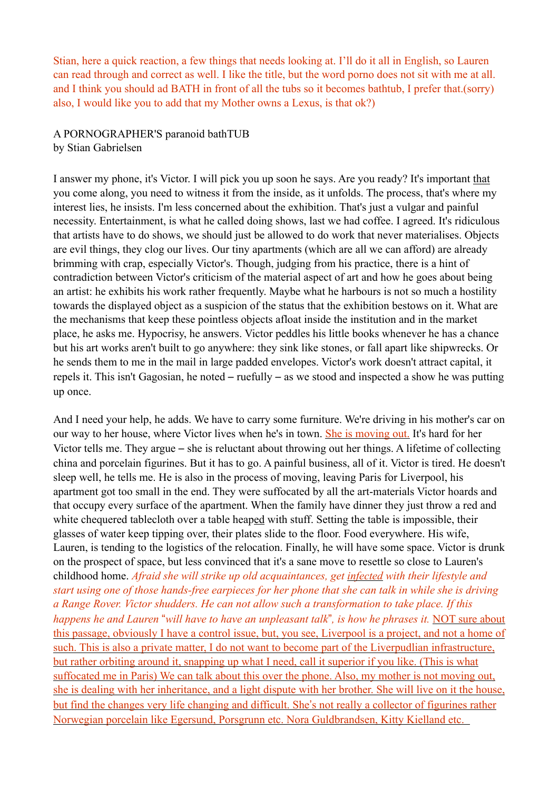Stian, here a quick reaction, a few things that needs looking at. I'll do it all in English, so Lauren can read through and correct as well. I like the title, but the word porno does not sit with me at all. and I think you should ad BATH in front of all the tubs so it becomes bathtub, I prefer that.(sorry) also, I would like you to add that my Mother owns a Lexus, is that ok?)

A PORNOGRAPHER'S paranoid bathTUB by Stian Gabrielsen

I answer my phone, it's Victor. I will pick you up soon he says. Are you ready? It's important that you come along, you need to witness it from the inside, as it unfolds. The process, that's where my interest lies, he insists. I'm less concerned about the exhibition. That's just a vulgar and painful necessity. Entertainment, is what he called doing shows, last we had coffee. I agreed. It's ridiculous that artists have to do shows, we should just be allowed to do work that never materialises. Objects are evil things, they clog our lives. Our tiny apartments (which are all we can afford) are already brimming with crap, especially Victor's. Though, judging from his practice, there is a hint of contradiction between Victor's criticism of the material aspect of art and how he goes about being an artist: he exhibits his work rather frequently. Maybe what he harbours is not so much a hostility towards the displayed object as a suspicion of the status that the exhibition bestows on it. What are the mechanisms that keep these pointless objects afloat inside the institution and in the market place, he asks me. Hypocrisy, he answers. Victor peddles his little books whenever he has a chance but his art works aren't built to go anywhere: they sink like stones, or fall apart like shipwrecks. Or he sends them to me in the mail in large padded envelopes. Victor's work doesn't attract capital, it repels it. This isn't Gagosian, he noted – ruefully – as we stood and inspected a show he was putting up once.

And I need your help, he adds. We have to carry some furniture. We're driving in his mother's car on our way to her house, where Victor lives when he's in town. She is moving out. It's hard for her Victor tells me. They argue – she is reluctant about throwing out her things. A lifetime of collecting china and porcelain figurines. But it has to go. A painful business, all of it. Victor is tired. He doesn't sleep well, he tells me. He is also in the process of moving, leaving Paris for Liverpool, his apartment got too small in the end. They were suffocated by all the art-materials Victor hoards and that occupy every surface of the apartment. When the family have dinner they just throw a red and white chequered tablecloth over a table heaped with stuff. Setting the table is impossible, their glasses of water keep tipping over, their plates slide to the floor. Food everywhere. His wife, Lauren, is tending to the logistics of the relocation. Finally, he will have some space. Victor is drunk on the prospect of space, but less convinced that it's a sane move to resettle so close to Lauren's childhood home. *Afraid she will strike up old acquaintances, get infected with their lifestyle and start using one of those hands-free earpieces for her phone that she can talk in while she is driving a Range Rover. Victor shudders. He can not allow such a transformation to take place. If this happens he and Lauren* "*will have to have an unpleasant talk*"*, is how he phrases it.* NOT sure about this passage, obviously I have a control issue, but, you see, Liverpool is a project, and not a home of such. This is also a private matter, I do not want to become part of the Liverpudlian infrastructure, but rather orbiting around it, snapping up what I need, call it superior if you like. (This is what suffocated me in Paris) We can talk about this over the phone. Also, my mother is not moving out, she is dealing with her inheritance, and a light dispute with her brother. She will live on it the house, but find the changes very life changing and difficult. She's not really a collector of figurines rather Norwegian porcelain like Egersund, Porsgrunn etc. Nora Guldbrandsen, Kitty Kielland etc.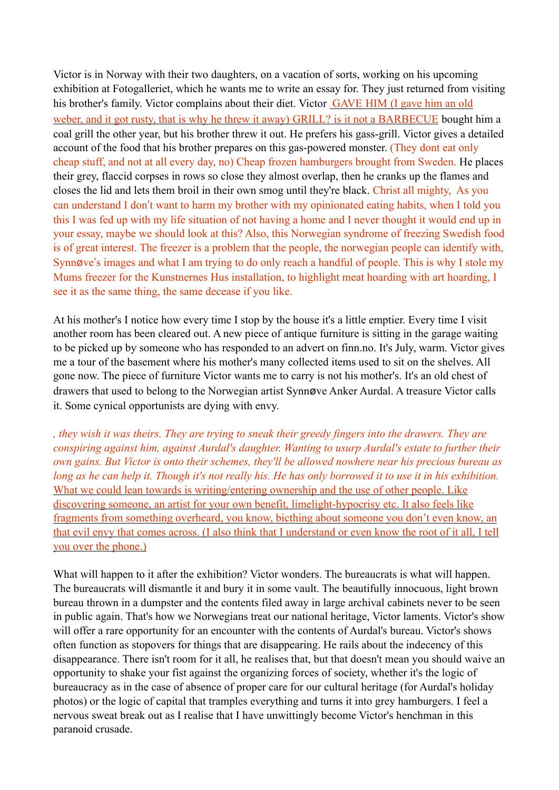Victor is in Norway with their two daughters, on a vacation of sorts, working on his upcoming exhibition at Fotogalleriet, which he wants me to write an essay for. They just returned from visiting his brother's family. Victor complains about their diet. Victor GAVE HIM (I gave him an old weber, and it got rusty, that is why he threw it away) GRILL? is it not a BARBECUE bought him a coal grill the other year, but his brother threw it out. He prefers his gass-grill. Victor gives a detailed account of the food that his brother prepares on this gas-powered monster. (They dont eat only cheap stuff, and not at all every day, no) Cheap frozen hamburgers brought from Sweden. He places their grey, flaccid corpses in rows so close they almost overlap, then he cranks up the flames and closes the lid and lets them broil in their own smog until they're black. Christ all mighty, As you can understand I don't want to harm my brother with my opinionated eating habits, when I told you this I was fed up with my life situation of not having a home and I never thought it would end up in your essay, maybe we should look at this? Also, this Norwegian syndrome of freezing Swedish food is of great interest. The freezer is a problem that the people, the norwegian people can identify with, Synnøve's images and what I am trying to do only reach a handful of people. This is why I stole my Mums freezer for the Kunstnernes Hus installation, to highlight meat hoarding with art hoarding, I see it as the same thing, the same decease if you like.

At his mother's I notice how every time I stop by the house it's a little emptier. Every time I visit another room has been cleared out. A new piece of antique furniture is sitting in the garage waiting to be picked up by someone who has responded to an advert on finn.no. It's July, warm. Victor gives me a tour of the basement where his mother's many collected items used to sit on the shelves. All gone now. The piece of furniture Victor wants me to carry is not his mother's. It's an old chest of drawers that used to belong to the Norwegian artist Synnøve Anker Aurdal. A treasure Victor calls it. Some cynical opportunists are dying with envy.

*, they wish it was theirs. They are trying to sneak their greedy fingers into the drawers. They are conspiring against him, against Aurdal's daughter. Wanting to usurp Aurdal's estate to further their own gains. But Victor is onto their schemes, they'll be allowed nowhere near his precious bureau as long as he can help it. Though it's not really his. He has only borrowed it to use it in his exhibition.* What we could lean towards is writing/entering ownership and the use of other people. Like discovering someone, an artist for your own benefit, limelight-hypocrisy etc. It also feels like fragments from something overheard, you know, bicthing about someone you don't even know, an that evil envy that comes across. (I also think that I understand or even know the root of it all, I tell you over the phone.)

What will happen to it after the exhibition? Victor wonders. The bureaucrats is what will happen. The bureaucrats will dismantle it and bury it in some vault. The beautifully innocuous, light brown bureau thrown in a dumpster and the contents filed away in large archival cabinets never to be seen in public again. That's how we Norwegians treat our national heritage, Victor laments. Victor's show will offer a rare opportunity for an encounter with the contents of Aurdal's bureau. Victor's shows often function as stopovers for things that are disappearing. He rails about the indecency of this disappearance. There isn't room for it all, he realises that, but that doesn't mean you should waive an opportunity to shake your fist against the organizing forces of society, whether it's the logic of bureaucracy as in the case of absence of proper care for our cultural heritage (for Aurdal's holiday photos) or the logic of capital that tramples everything and turns it into grey hamburgers. I feel a nervous sweat break out as I realise that I have unwittingly become Victor's henchman in this paranoid crusade.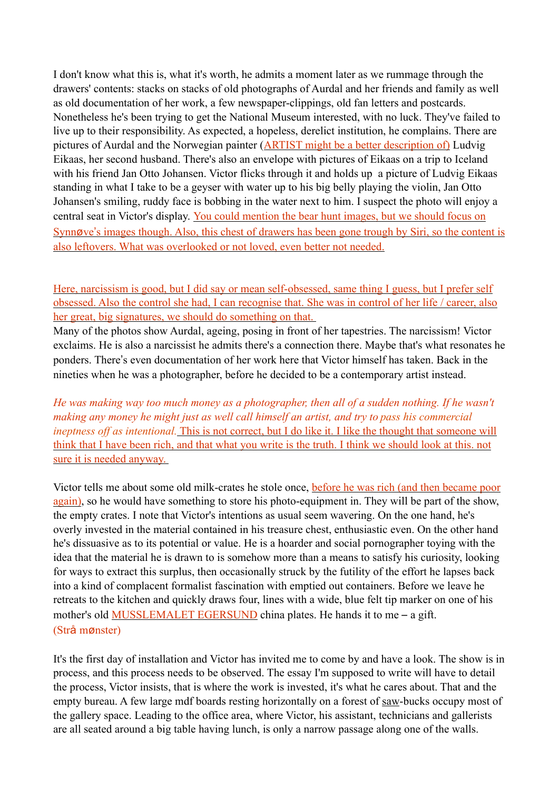I don't know what this is, what it's worth, he admits a moment later as we rummage through the drawers' contents: stacks on stacks of old photographs of Aurdal and her friends and family as well as old documentation of her work, a few newspaper-clippings, old fan letters and postcards. Nonetheless he's been trying to get the National Museum interested, with no luck. They've failed to live up to their responsibility. As expected, a hopeless, derelict institution, he complains. There are pictures of Aurdal and the Norwegian painter (ARTIST might be a better description of) Ludvig Eikaas, her second husband. There's also an envelope with pictures of Eikaas on a trip to Iceland with his friend Jan Otto Johansen. Victor flicks through it and holds up a picture of Ludvig Eikaas standing in what I take to be a geyser with water up to his big belly playing the violin, Jan Otto Johansen's smiling, ruddy face is bobbing in the water next to him. I suspect the photo will enjoy a central seat in Victor's display. You could mention the bear hunt images, but we should focus on Synnøve's images though. Also, this chest of drawers has been gone trough by Siri, so the content is also leftovers. What was overlooked or not loved, even better not needed.

Here, narcissism is good, but I did say or mean self-obsessed, same thing I guess, but I prefer self obsessed. Also the control she had, I can recognise that. She was in control of her life / career, also her great, big signatures, we should do something on that.

Many of the photos show Aurdal, ageing, posing in front of her tapestries. The narcissism! Victor exclaims. He is also a narcissist he admits there's a connection there. Maybe that's what resonates he ponders. There's even documentation of her work here that Victor himself has taken. Back in the nineties when he was a photographer, before he decided to be a contemporary artist instead.

*He was making way too much money as a photographer, then all of a sudden nothing. If he wasn't making any money he might just as well call himself an artist, and try to pass his commercial ineptness off as intentional.* This is not correct, but I do like it. I like the thought that someone will think that I have been rich, and that what you write is the truth. I think we should look at this. not sure it is needed anyway.

Victor tells me about some old milk-crates he stole once, before he was rich (and then became poor again), so he would have something to store his photo-equipment in. They will be part of the show, the empty crates. I note that Victor's intentions as usual seem wavering. On the one hand, he's overly invested in the material contained in his treasure chest, enthusiastic even. On the other hand he's dissuasive as to its potential or value. He is a hoarder and social pornographer toying with the idea that the material he is drawn to is somehow more than a means to satisfy his curiosity, looking for ways to extract this surplus, then occasionally struck by the futility of the effort he lapses back into a kind of complacent formalist fascination with emptied out containers. Before we leave he retreats to the kitchen and quickly draws four, lines with a wide, blue felt tip marker on one of his mother's old **MUSSLEMALET EGERSUND** china plates. He hands it to me – a gift. (Strå mønster)

It's the first day of installation and Victor has invited me to come by and have a look. The show is in process, and this process needs to be observed. The essay I'm supposed to write will have to detail the process, Victor insists, that is where the work is invested, it's what he cares about. That and the empty bureau. A few large mdf boards resting horizontally on a forest of saw-bucks occupy most of the gallery space. Leading to the office area, where Victor, his assistant, technicians and gallerists are all seated around a big table having lunch, is only a narrow passage along one of the walls.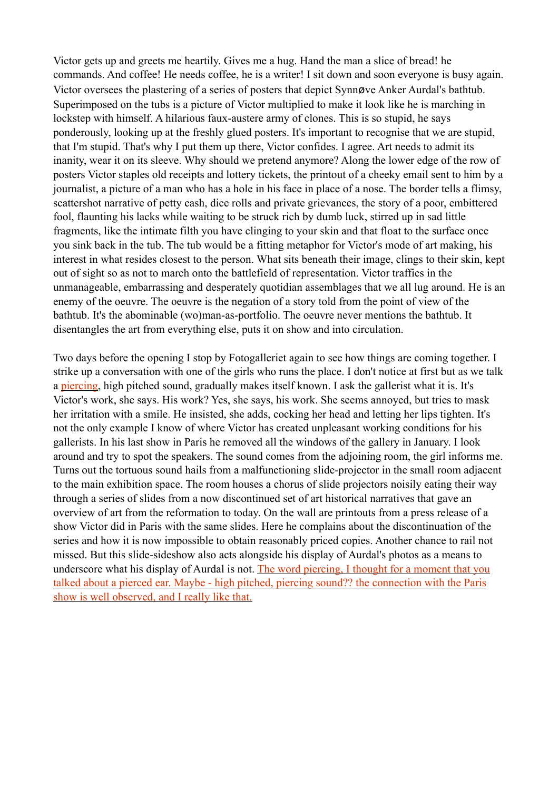Victor gets up and greets me heartily. Gives me a hug. Hand the man a slice of bread! he commands. And coffee! He needs coffee, he is a writer! I sit down and soon everyone is busy again. Victor oversees the plastering of a series of posters that depict Synnøve Anker Aurdal's bathtub. Superimposed on the tubs is a picture of Victor multiplied to make it look like he is marching in lockstep with himself. A hilarious faux-austere army of clones. This is so stupid, he says ponderously, looking up at the freshly glued posters. It's important to recognise that we are stupid, that I'm stupid. That's why I put them up there, Victor confides. I agree. Art needs to admit its inanity, wear it on its sleeve. Why should we pretend anymore? Along the lower edge of the row of posters Victor staples old receipts and lottery tickets, the printout of a cheeky email sent to him by a journalist, a picture of a man who has a hole in his face in place of a nose. The border tells a flimsy, scattershot narrative of petty cash, dice rolls and private grievances, the story of a poor, embittered fool, flaunting his lacks while waiting to be struck rich by dumb luck, stirred up in sad little fragments, like the intimate filth you have clinging to your skin and that float to the surface once you sink back in the tub. The tub would be a fitting metaphor for Victor's mode of art making, his interest in what resides closest to the person. What sits beneath their image, clings to their skin, kept out of sight so as not to march onto the battlefield of representation. Victor traffics in the unmanageable, embarrassing and desperately quotidian assemblages that we all lug around. He is an enemy of the oeuvre. The oeuvre is the negation of a story told from the point of view of the bathtub. It's the abominable (wo)man-as-portfolio. The oeuvre never mentions the bathtub. It disentangles the art from everything else, puts it on show and into circulation.

Two days before the opening I stop by Fotogalleriet again to see how things are coming together. I strike up a conversation with one of the girls who runs the place. I don't notice at first but as we talk a piercing, high pitched sound, gradually makes itself known. I ask the gallerist what it is. It's Victor's work, she says. His work? Yes, she says, his work. She seems annoyed, but tries to mask her irritation with a smile. He insisted, she adds, cocking her head and letting her lips tighten. It's not the only example I know of where Victor has created unpleasant working conditions for his gallerists. In his last show in Paris he removed all the windows of the gallery in January. I look around and try to spot the speakers. The sound comes from the adjoining room, the girl informs me. Turns out the tortuous sound hails from a malfunctioning slide-projector in the small room adjacent to the main exhibition space. The room houses a chorus of slide projectors noisily eating their way through a series of slides from a now discontinued set of art historical narratives that gave an overview of art from the reformation to today. On the wall are printouts from a press release of a show Victor did in Paris with the same slides. Here he complains about the discontinuation of the series and how it is now impossible to obtain reasonably priced copies. Another chance to rail not missed. But this slide-sideshow also acts alongside his display of Aurdal's photos as a means to underscore what his display of Aurdal is not. The word piercing, I thought for a moment that you talked about a pierced ear. Maybe - high pitched, piercing sound?? the connection with the Paris show is well observed, and I really like that.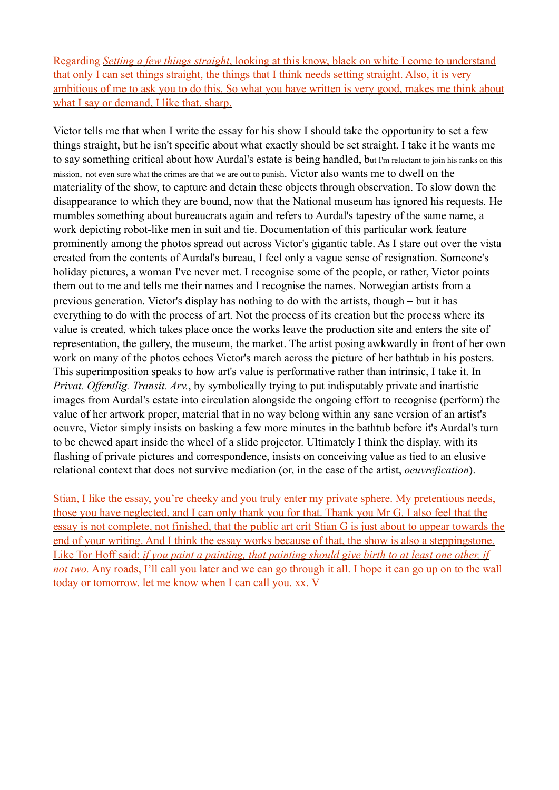Regarding *Setting a few things straight*, looking at this know, black on white I come to understand that only I can set things straight, the things that I think needs setting straight. Also, it is very ambitious of me to ask you to do this. So what you have written is very good, makes me think about what I say or demand, I like that. sharp.

Victor tells me that when I write the essay for his show I should take the opportunity to set a few things straight, but he isn't specific about what exactly should be set straight. I take it he wants me to say something critical about how Aurdal's estate is being handled, but I'm reluctant to join his ranks on this mission, not even sure what the crimes are that we are out to punish. Victor also wants me to dwell on the materiality of the show, to capture and detain these objects through observation. To slow down the disappearance to which they are bound, now that the National museum has ignored his requests. He mumbles something about bureaucrats again and refers to Aurdal's tapestry of the same name, a work depicting robot-like men in suit and tie. Documentation of this particular work feature prominently among the photos spread out across Victor's gigantic table. As I stare out over the vista created from the contents of Aurdal's bureau, I feel only a vague sense of resignation. Someone's holiday pictures, a woman I've never met. I recognise some of the people, or rather, Victor points them out to me and tells me their names and I recognise the names. Norwegian artists from a previous generation. Victor's display has nothing to do with the artists, though – but it has everything to do with the process of art. Not the process of its creation but the process where its value is created, which takes place once the works leave the production site and enters the site of representation, the gallery, the museum, the market. The artist posing awkwardly in front of her own work on many of the photos echoes Victor's march across the picture of her bathtub in his posters. This superimposition speaks to how art's value is performative rather than intrinsic, I take it. In *Privat. Offentlig. Transit. Arv.*, by symbolically trying to put indisputably private and inartistic images from Aurdal's estate into circulation alongside the ongoing effort to recognise (perform) the value of her artwork proper, material that in no way belong within any sane version of an artist's oeuvre, Victor simply insists on basking a few more minutes in the bathtub before it's Aurdal's turn to be chewed apart inside the wheel of a slide projector. Ultimately I think the display, with its flashing of private pictures and correspondence, insists on conceiving value as tied to an elusive relational context that does not survive mediation (or, in the case of the artist, *oeuvrefication*).

Stian, I like the essay, you're cheeky and you truly enter my private sphere. My pretentious needs, those you have neglected, and I can only thank you for that. Thank you Mr G. I also feel that the essay is not complete, not finished, that the public art crit Stian G is just about to appear towards the end of your writing. And I think the essay works because of that, the show is also a steppingstone. Like Tor Hoff said; *if you paint a painting, that painting should give birth to at least one other, if not two.* Any roads, I'll call you later and we can go through it all. I hope it can go up on to the wall today or tomorrow. let me know when I can call you. xx. V